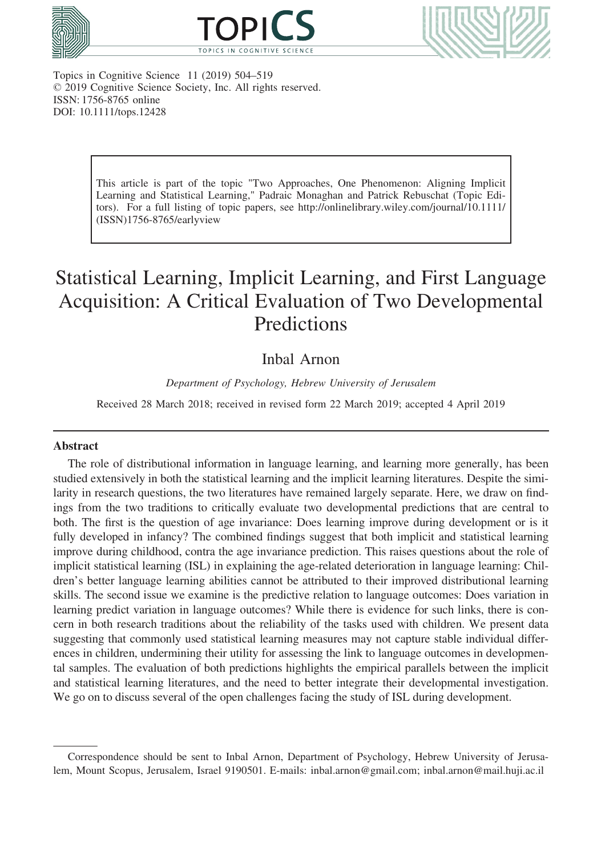





Topics in Cognitive Science 11 (2019) 504–519 © 2019 Cognitive Science Society, Inc. All rights reserved. ISSN: 1756-8765 online DOI: 10.1111/tops.12428

> This article is part of the topic "Two Approaches, One Phenomenon: Aligning Implicit Learning and Statistical Learning," Padraic Monaghan and Patrick Rebuschat (Topic Editors). For a full listing of topic papers, see [http://onlinelibrary.wiley.com/journal/10.1111/](http://onlinelibrary.wiley.com/journal/10.1111/(ISSN)1756-8765/earlyview) [\(ISSN\)1756-8765/earlyview](http://onlinelibrary.wiley.com/journal/10.1111/(ISSN)1756-8765/earlyview)

# Statistical Learning, Implicit Learning, and First Language Acquisition: A Critical Evaluation of Two Developmental **Predictions**

# Inbal Arnon

Department of Psychology, Hebrew University of Jerusalem

Received 28 March 2018; received in revised form 22 March 2019; accepted 4 April 2019

### Abstract

The role of distributional information in language learning, and learning more generally, has been studied extensively in both the statistical learning and the implicit learning literatures. Despite the similarity in research questions, the two literatures have remained largely separate. Here, we draw on findings from the two traditions to critically evaluate two developmental predictions that are central to both. The first is the question of age invariance: Does learning improve during development or is it fully developed in infancy? The combined findings suggest that both implicit and statistical learning improve during childhood, contra the age invariance prediction. This raises questions about the role of implicit statistical learning (ISL) in explaining the age-related deterioration in language learning: Children's better language learning abilities cannot be attributed to their improved distributional learning skills. The second issue we examine is the predictive relation to language outcomes: Does variation in learning predict variation in language outcomes? While there is evidence for such links, there is concern in both research traditions about the reliability of the tasks used with children. We present data suggesting that commonly used statistical learning measures may not capture stable individual differences in children, undermining their utility for assessing the link to language outcomes in developmental samples. The evaluation of both predictions highlights the empirical parallels between the implicit and statistical learning literatures, and the need to better integrate their developmental investigation. We go on to discuss several of the open challenges facing the study of ISL during development.

Correspondence should be sent to Inbal Arnon, Department of Psychology, Hebrew University of Jerusalem, Mount Scopus, Jerusalem, Israel 9190501. E-mails: [inbal.arnon@gmail.com; inbal.arnon@mail.huji.ac.il](mailto:)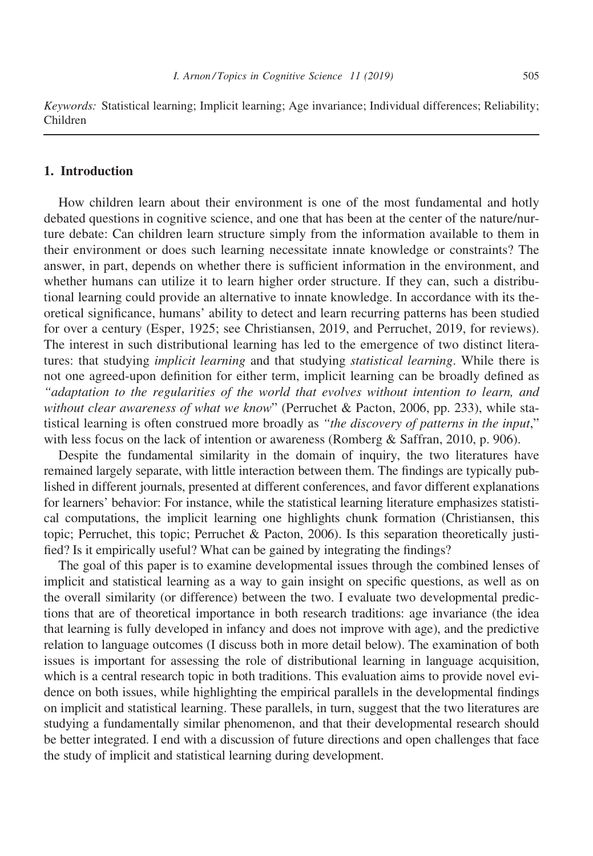Keywords: Statistical learning; Implicit learning; Age invariance; Individual differences; Reliability; Children

#### 1. Introduction

How children learn about their environment is one of the most fundamental and hotly debated questions in cognitive science, and one that has been at the center of the nature/nurture debate: Can children learn structure simply from the information available to them in their environment or does such learning necessitate innate knowledge or constraints? The answer, in part, depends on whether there is sufficient information in the environment, and whether humans can utilize it to learn higher order structure. If they can, such a distributional learning could provide an alternative to innate knowledge. In accordance with its theoretical significance, humans' ability to detect and learn recurring patterns has been studied for over a century (Esper, 1925; see Christiansen, 2019, and Perruchet, 2019, for reviews). The interest in such distributional learning has led to the emergence of two distinct literatures: that studying implicit learning and that studying statistical learning. While there is not one agreed-upon definition for either term, implicit learning can be broadly defined as "adaptation to the regularities of the world that evolves without intention to learn, and without clear awareness of what we know" (Perruchet & Pacton, 2006, pp. 233), while statistical learning is often construed more broadly as "the discovery of patterns in the input," with less focus on the lack of intention or awareness (Romberg & Saffran, 2010, p. 906).

Despite the fundamental similarity in the domain of inquiry, the two literatures have remained largely separate, with little interaction between them. The findings are typically published in different journals, presented at different conferences, and favor different explanations for learners' behavior: For instance, while the statistical learning literature emphasizes statistical computations, the implicit learning one highlights chunk formation (Christiansen, this topic; Perruchet, this topic; Perruchet & Pacton, 2006). Is this separation theoretically justified? Is it empirically useful? What can be gained by integrating the findings?

The goal of this paper is to examine developmental issues through the combined lenses of implicit and statistical learning as a way to gain insight on specific questions, as well as on the overall similarity (or difference) between the two. I evaluate two developmental predictions that are of theoretical importance in both research traditions: age invariance (the idea that learning is fully developed in infancy and does not improve with age), and the predictive relation to language outcomes (I discuss both in more detail below). The examination of both issues is important for assessing the role of distributional learning in language acquisition, which is a central research topic in both traditions. This evaluation aims to provide novel evidence on both issues, while highlighting the empirical parallels in the developmental findings on implicit and statistical learning. These parallels, in turn, suggest that the two literatures are studying a fundamentally similar phenomenon, and that their developmental research should be better integrated. I end with a discussion of future directions and open challenges that face the study of implicit and statistical learning during development.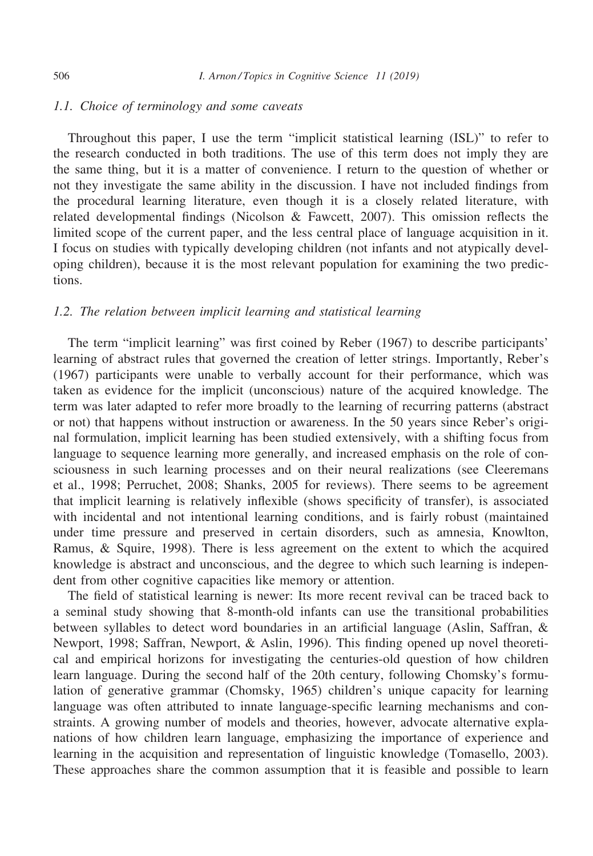# 1.1. Choice of terminology and some caveats

Throughout this paper, I use the term "implicit statistical learning (ISL)" to refer to the research conducted in both traditions. The use of this term does not imply they are the same thing, but it is a matter of convenience. I return to the question of whether or not they investigate the same ability in the discussion. I have not included findings from the procedural learning literature, even though it is a closely related literature, with related developmental findings (Nicolson & Fawcett, 2007). This omission reflects the limited scope of the current paper, and the less central place of language acquisition in it. I focus on studies with typically developing children (not infants and not atypically developing children), because it is the most relevant population for examining the two predictions.

### 1.2. The relation between implicit learning and statistical learning

The term "implicit learning" was first coined by Reber (1967) to describe participants' learning of abstract rules that governed the creation of letter strings. Importantly, Reber's (1967) participants were unable to verbally account for their performance, which was taken as evidence for the implicit (unconscious) nature of the acquired knowledge. The term was later adapted to refer more broadly to the learning of recurring patterns (abstract or not) that happens without instruction or awareness. In the 50 years since Reber's original formulation, implicit learning has been studied extensively, with a shifting focus from language to sequence learning more generally, and increased emphasis on the role of consciousness in such learning processes and on their neural realizations (see Cleeremans et al., 1998; Perruchet, 2008; Shanks, 2005 for reviews). There seems to be agreement that implicit learning is relatively inflexible (shows specificity of transfer), is associated with incidental and not intentional learning conditions, and is fairly robust (maintained under time pressure and preserved in certain disorders, such as amnesia, Knowlton, Ramus, & Squire, 1998). There is less agreement on the extent to which the acquired knowledge is abstract and unconscious, and the degree to which such learning is independent from other cognitive capacities like memory or attention.

The field of statistical learning is newer: Its more recent revival can be traced back to a seminal study showing that 8-month-old infants can use the transitional probabilities between syllables to detect word boundaries in an artificial language (Aslin, Saffran, & Newport, 1998; Saffran, Newport, & Aslin, 1996). This finding opened up novel theoretical and empirical horizons for investigating the centuries-old question of how children learn language. During the second half of the 20th century, following Chomsky's formulation of generative grammar (Chomsky, 1965) children's unique capacity for learning language was often attributed to innate language-specific learning mechanisms and constraints. A growing number of models and theories, however, advocate alternative explanations of how children learn language, emphasizing the importance of experience and learning in the acquisition and representation of linguistic knowledge (Tomasello, 2003). These approaches share the common assumption that it is feasible and possible to learn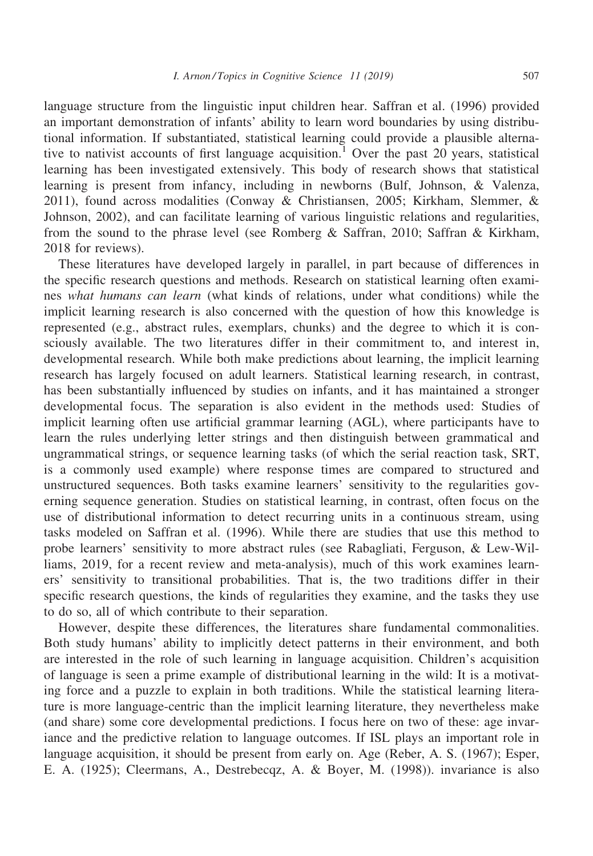language structure from the linguistic input children hear. Saffran et al. (1996) provided an important demonstration of infants' ability to learn word boundaries by using distributional information. If substantiated, statistical learning could provide a plausible alternative to nativist accounts of first language acquisition.<sup>1</sup> Over the past 20 years, statistical learning has been investigated extensively. This body of research shows that statistical learning is present from infancy, including in newborns (Bulf, Johnson, & Valenza, 2011), found across modalities (Conway & Christiansen, 2005; Kirkham, Slemmer, & Johnson, 2002), and can facilitate learning of various linguistic relations and regularities, from the sound to the phrase level (see Romberg & Saffran, 2010; Saffran & Kirkham, 2018 for reviews).

These literatures have developed largely in parallel, in part because of differences in the specific research questions and methods. Research on statistical learning often examines what humans can learn (what kinds of relations, under what conditions) while the implicit learning research is also concerned with the question of how this knowledge is represented (e.g., abstract rules, exemplars, chunks) and the degree to which it is consciously available. The two literatures differ in their commitment to, and interest in, developmental research. While both make predictions about learning, the implicit learning research has largely focused on adult learners. Statistical learning research, in contrast, has been substantially influenced by studies on infants, and it has maintained a stronger developmental focus. The separation is also evident in the methods used: Studies of implicit learning often use artificial grammar learning (AGL), where participants have to learn the rules underlying letter strings and then distinguish between grammatical and ungrammatical strings, or sequence learning tasks (of which the serial reaction task, SRT, is a commonly used example) where response times are compared to structured and unstructured sequences. Both tasks examine learners' sensitivity to the regularities governing sequence generation. Studies on statistical learning, in contrast, often focus on the use of distributional information to detect recurring units in a continuous stream, using tasks modeled on Saffran et al. (1996). While there are studies that use this method to probe learners' sensitivity to more abstract rules (see Rabagliati, Ferguson, & Lew-Williams, 2019, for a recent review and meta-analysis), much of this work examines learners' sensitivity to transitional probabilities. That is, the two traditions differ in their specific research questions, the kinds of regularities they examine, and the tasks they use to do so, all of which contribute to their separation.

However, despite these differences, the literatures share fundamental commonalities. Both study humans' ability to implicitly detect patterns in their environment, and both are interested in the role of such learning in language acquisition. Children's acquisition of language is seen a prime example of distributional learning in the wild: It is a motivating force and a puzzle to explain in both traditions. While the statistical learning literature is more language-centric than the implicit learning literature, they nevertheless make (and share) some core developmental predictions. I focus here on two of these: age invariance and the predictive relation to language outcomes. If ISL plays an important role in language acquisition, it should be present from early on. Age (Reber, A. S. (1967); Esper, E. A. (1925); Cleermans, A., Destrebecqz, A. & Boyer, M. (1998)). invariance is also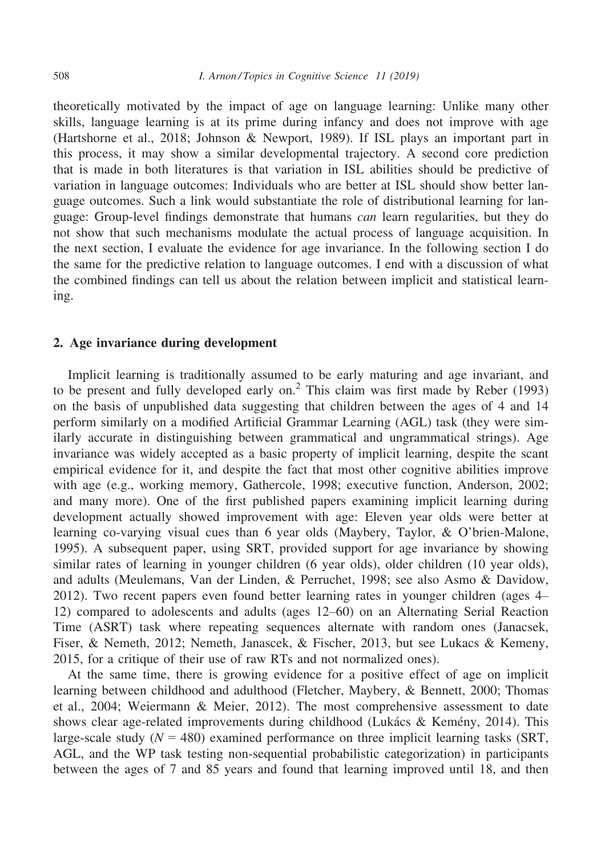theoretically motivated by the impact of age on language learning: Unlike many other skills, language learning is at its prime during infancy and does not improve with age (Hartshorne et al., 2018; Johnson & Newport, 1989). If ISL plays an important part in this process, it may show a similar developmental trajectory. A second core prediction that is made in both literatures is that variation in ISL abilities should be predictive of variation in language outcomes: Individuals who are better at ISL should show better language outcomes. Such a link would substantiate the role of distributional learning for language: Group-level findings demonstrate that humans can learn regularities, but they do not show that such mechanisms modulate the actual process of language acquisition. In the next section, I evaluate the evidence for age invariance. In the following section I do the same for the predictive relation to language outcomes. I end with a discussion of what the combined findings can tell us about the relation between implicit and statistical learning.

### 2. Age invariance during development

Implicit learning is traditionally assumed to be early maturing and age invariant, and to be present and fully developed early on.<sup>2</sup> This claim was first made by Reber (1993) on the basis of unpublished data suggesting that children between the ages of 4 and 14 perform similarly on a modified Artificial Grammar Learning (AGL) task (they were similarly accurate in distinguishing between grammatical and ungrammatical strings). Age invariance was widely accepted as a basic property of implicit learning, despite the scant empirical evidence for it, and despite the fact that most other cognitive abilities improve with age (e.g., working memory, Gathercole, 1998; executive function, Anderson, 2002; and many more). One of the first published papers examining implicit learning during development actually showed improvement with age: Eleven year olds were better at learning co-varying visual cues than 6 year olds (Maybery, Taylor, & O'brien-Malone, 1995). A subsequent paper, using SRT, provided support for age invariance by showing similar rates of learning in younger children (6 year olds), older children (10 year olds), and adults (Meulemans, Van der Linden, & Perruchet, 1998; see also Asmo & Davidow, 2012). Two recent papers even found better learning rates in younger children (ages 4– 12) compared to adolescents and adults (ages 12–60) on an Alternating Serial Reaction Time (ASRT) task where repeating sequences alternate with random ones (Janacsek, Fiser, & Nemeth, 2012; Nemeth, Janascek, & Fischer, 2013, but see Lukacs & Kemeny, 2015, for a critique of their use of raw RTs and not normalized ones).

At the same time, there is growing evidence for a positive effect of age on implicit learning between childhood and adulthood (Fletcher, Maybery, & Bennett, 2000; Thomas et al., 2004; Weiermann & Meier, 2012). The most comprehensive assessment to date shows clear age-related improvements during childhood (Lukács & Kemény, 2014). This large-scale study ( $N = 480$ ) examined performance on three implicit learning tasks (SRT, AGL, and the WP task testing non-sequential probabilistic categorization) in participants between the ages of 7 and 85 years and found that learning improved until 18, and then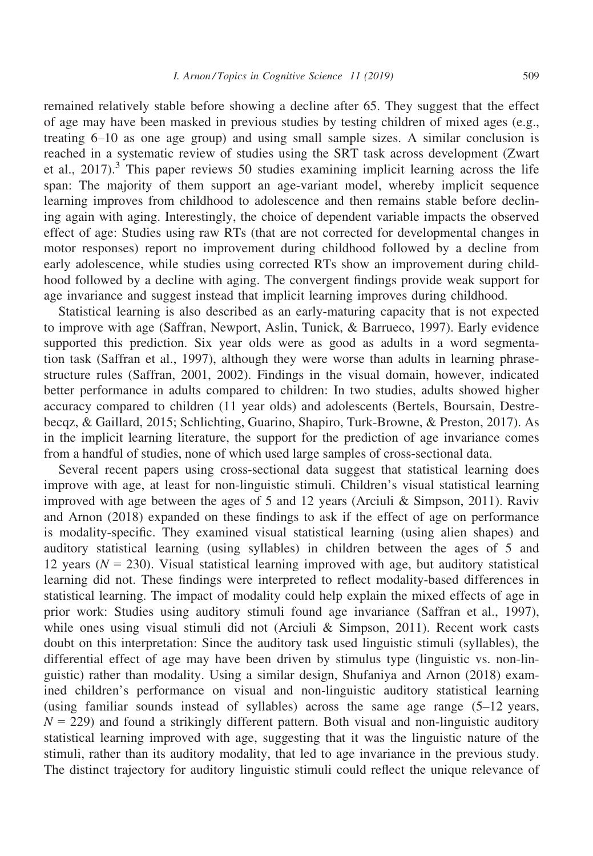remained relatively stable before showing a decline after 65. They suggest that the effect of age may have been masked in previous studies by testing children of mixed ages (e.g., treating 6–10 as one age group) and using small sample sizes. A similar conclusion is reached in a systematic review of studies using the SRT task across development (Zwart et al.,  $2017$ ).<sup>3</sup> This paper reviews 50 studies examining implicit learning across the life span: The majority of them support an age-variant model, whereby implicit sequence learning improves from childhood to adolescence and then remains stable before declining again with aging. Interestingly, the choice of dependent variable impacts the observed effect of age: Studies using raw RTs (that are not corrected for developmental changes in motor responses) report no improvement during childhood followed by a decline from early adolescence, while studies using corrected RTs show an improvement during childhood followed by a decline with aging. The convergent findings provide weak support for age invariance and suggest instead that implicit learning improves during childhood.

Statistical learning is also described as an early-maturing capacity that is not expected to improve with age (Saffran, Newport, Aslin, Tunick, & Barrueco, 1997). Early evidence supported this prediction. Six year olds were as good as adults in a word segmentation task (Saffran et al., 1997), although they were worse than adults in learning phrasestructure rules (Saffran, 2001, 2002). Findings in the visual domain, however, indicated better performance in adults compared to children: In two studies, adults showed higher accuracy compared to children (11 year olds) and adolescents (Bertels, Boursain, Destrebecqz, & Gaillard, 2015; Schlichting, Guarino, Shapiro, Turk-Browne, & Preston, 2017). As in the implicit learning literature, the support for the prediction of age invariance comes from a handful of studies, none of which used large samples of cross-sectional data.

Several recent papers using cross-sectional data suggest that statistical learning does improve with age, at least for non-linguistic stimuli. Children's visual statistical learning improved with age between the ages of 5 and 12 years (Arciuli & Simpson, 2011). Raviv and Arnon (2018) expanded on these findings to ask if the effect of age on performance is modality-specific. They examined visual statistical learning (using alien shapes) and auditory statistical learning (using syllables) in children between the ages of 5 and 12 years ( $N = 230$ ). Visual statistical learning improved with age, but auditory statistical learning did not. These findings were interpreted to reflect modality-based differences in statistical learning. The impact of modality could help explain the mixed effects of age in prior work: Studies using auditory stimuli found age invariance (Saffran et al., 1997), while ones using visual stimuli did not (Arciuli & Simpson, 2011). Recent work casts doubt on this interpretation: Since the auditory task used linguistic stimuli (syllables), the differential effect of age may have been driven by stimulus type (linguistic vs. non-linguistic) rather than modality. Using a similar design, Shufaniya and Arnon (2018) examined children's performance on visual and non-linguistic auditory statistical learning (using familiar sounds instead of syllables) across the same age range (5–12 years,  $N = 229$ ) and found a strikingly different pattern. Both visual and non-linguistic auditory statistical learning improved with age, suggesting that it was the linguistic nature of the stimuli, rather than its auditory modality, that led to age invariance in the previous study. The distinct trajectory for auditory linguistic stimuli could reflect the unique relevance of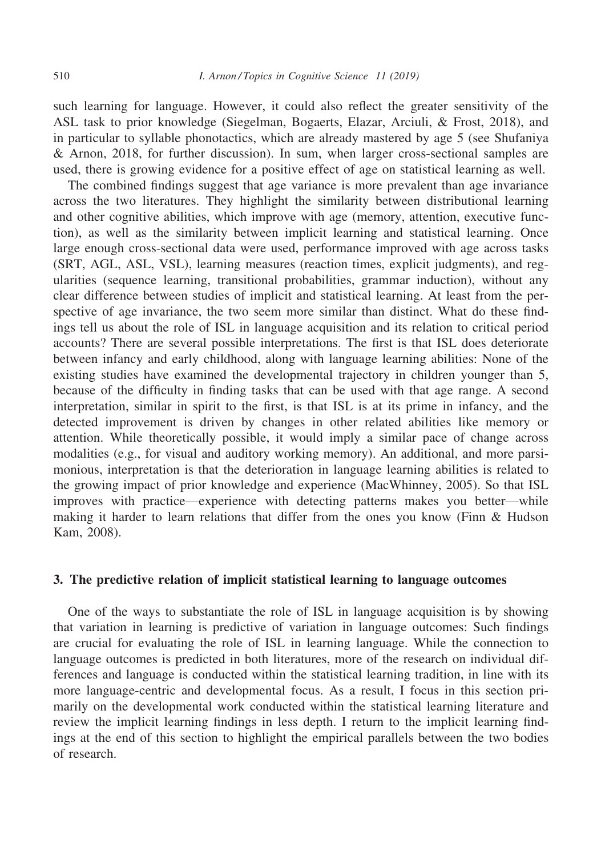such learning for language. However, it could also reflect the greater sensitivity of the ASL task to prior knowledge (Siegelman, Bogaerts, Elazar, Arciuli, & Frost, 2018), and in particular to syllable phonotactics, which are already mastered by age 5 (see Shufaniya & Arnon, 2018, for further discussion). In sum, when larger cross-sectional samples are used, there is growing evidence for a positive effect of age on statistical learning as well.

The combined findings suggest that age variance is more prevalent than age invariance across the two literatures. They highlight the similarity between distributional learning and other cognitive abilities, which improve with age (memory, attention, executive function), as well as the similarity between implicit learning and statistical learning. Once large enough cross-sectional data were used, performance improved with age across tasks (SRT, AGL, ASL, VSL), learning measures (reaction times, explicit judgments), and regularities (sequence learning, transitional probabilities, grammar induction), without any clear difference between studies of implicit and statistical learning. At least from the perspective of age invariance, the two seem more similar than distinct. What do these findings tell us about the role of ISL in language acquisition and its relation to critical period accounts? There are several possible interpretations. The first is that ISL does deteriorate between infancy and early childhood, along with language learning abilities: None of the existing studies have examined the developmental trajectory in children younger than 5, because of the difficulty in finding tasks that can be used with that age range. A second interpretation, similar in spirit to the first, is that ISL is at its prime in infancy, and the detected improvement is driven by changes in other related abilities like memory or attention. While theoretically possible, it would imply a similar pace of change across modalities (e.g., for visual and auditory working memory). An additional, and more parsimonious, interpretation is that the deterioration in language learning abilities is related to the growing impact of prior knowledge and experience (MacWhinney, 2005). So that ISL improves with practice—experience with detecting patterns makes you better—while making it harder to learn relations that differ from the ones you know (Finn & Hudson Kam, 2008).

## 3. The predictive relation of implicit statistical learning to language outcomes

One of the ways to substantiate the role of ISL in language acquisition is by showing that variation in learning is predictive of variation in language outcomes: Such findings are crucial for evaluating the role of ISL in learning language. While the connection to language outcomes is predicted in both literatures, more of the research on individual differences and language is conducted within the statistical learning tradition, in line with its more language-centric and developmental focus. As a result, I focus in this section primarily on the developmental work conducted within the statistical learning literature and review the implicit learning findings in less depth. I return to the implicit learning findings at the end of this section to highlight the empirical parallels between the two bodies of research.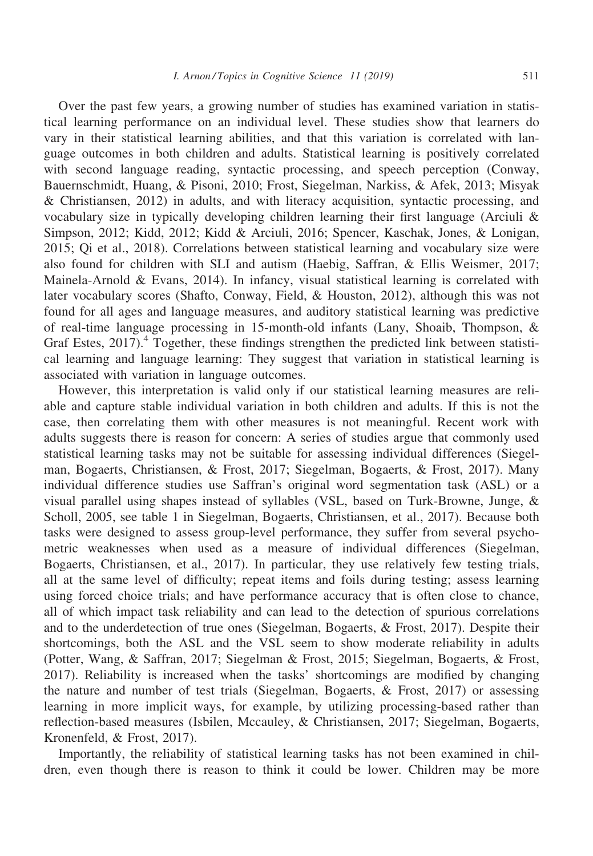Over the past few years, a growing number of studies has examined variation in statistical learning performance on an individual level. These studies show that learners do vary in their statistical learning abilities, and that this variation is correlated with language outcomes in both children and adults. Statistical learning is positively correlated with second language reading, syntactic processing, and speech perception (Conway, Bauernschmidt, Huang, & Pisoni, 2010; Frost, Siegelman, Narkiss, & Afek, 2013; Misyak & Christiansen, 2012) in adults, and with literacy acquisition, syntactic processing, and vocabulary size in typically developing children learning their first language (Arciuli  $\&$ Simpson, 2012; Kidd, 2012; Kidd & Arciuli, 2016; Spencer, Kaschak, Jones, & Lonigan, 2015; Qi et al., 2018). Correlations between statistical learning and vocabulary size were also found for children with SLI and autism (Haebig, Saffran, & Ellis Weismer, 2017; Mainela-Arnold & Evans, 2014). In infancy, visual statistical learning is correlated with later vocabulary scores (Shafto, Conway, Field, & Houston, 2012), although this was not found for all ages and language measures, and auditory statistical learning was predictive of real-time language processing in 15-month-old infants (Lany, Shoaib, Thompson, & Graf Estes,  $2017$ ).<sup>4</sup> Together, these findings strengthen the predicted link between statistical learning and language learning: They suggest that variation in statistical learning is associated with variation in language outcomes.

However, this interpretation is valid only if our statistical learning measures are reliable and capture stable individual variation in both children and adults. If this is not the case, then correlating them with other measures is not meaningful. Recent work with adults suggests there is reason for concern: A series of studies argue that commonly used statistical learning tasks may not be suitable for assessing individual differences (Siegelman, Bogaerts, Christiansen, & Frost, 2017; Siegelman, Bogaerts, & Frost, 2017). Many individual difference studies use Saffran's original word segmentation task (ASL) or a visual parallel using shapes instead of syllables (VSL, based on Turk-Browne, Junge, & Scholl, 2005, see table 1 in Siegelman, Bogaerts, Christiansen, et al., 2017). Because both tasks were designed to assess group-level performance, they suffer from several psychometric weaknesses when used as a measure of individual differences (Siegelman, Bogaerts, Christiansen, et al., 2017). In particular, they use relatively few testing trials, all at the same level of difficulty; repeat items and foils during testing; assess learning using forced choice trials; and have performance accuracy that is often close to chance, all of which impact task reliability and can lead to the detection of spurious correlations and to the underdetection of true ones (Siegelman, Bogaerts, & Frost, 2017). Despite their shortcomings, both the ASL and the VSL seem to show moderate reliability in adults (Potter, Wang, & Saffran, 2017; Siegelman & Frost, 2015; Siegelman, Bogaerts, & Frost, 2017). Reliability is increased when the tasks' shortcomings are modified by changing the nature and number of test trials (Siegelman, Bogaerts, & Frost, 2017) or assessing learning in more implicit ways, for example, by utilizing processing-based rather than reflection-based measures (Isbilen, Mccauley, & Christiansen, 2017; Siegelman, Bogaerts, Kronenfeld, & Frost, 2017).

Importantly, the reliability of statistical learning tasks has not been examined in children, even though there is reason to think it could be lower. Children may be more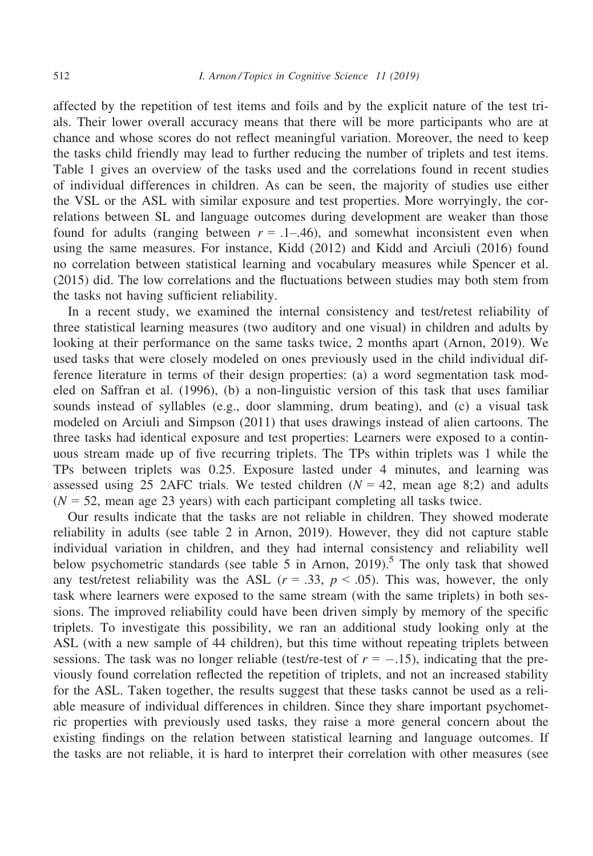affected by the repetition of test items and foils and by the explicit nature of the test trials. Their lower overall accuracy means that there will be more participants who are at chance and whose scores do not reflect meaningful variation. Moreover, the need to keep the tasks child friendly may lead to further reducing the number of triplets and test items. Table 1 gives an overview of the tasks used and the correlations found in recent studies of individual differences in children. As can be seen, the majority of studies use either the VSL or the ASL with similar exposure and test properties. More worryingly, the correlations between SL and language outcomes during development are weaker than those found for adults (ranging between  $r = .1-.46$ ), and somewhat inconsistent even when using the same measures. For instance, Kidd (2012) and Kidd and Arciuli (2016) found no correlation between statistical learning and vocabulary measures while Spencer et al. (2015) did. The low correlations and the fluctuations between studies may both stem from the tasks not having sufficient reliability.

In a recent study, we examined the internal consistency and test/retest reliability of three statistical learning measures (two auditory and one visual) in children and adults by looking at their performance on the same tasks twice, 2 months apart (Arnon, 2019). We used tasks that were closely modeled on ones previously used in the child individual difference literature in terms of their design properties: (a) a word segmentation task modeled on Saffran et al. (1996), (b) a non-linguistic version of this task that uses familiar sounds instead of syllables (e.g., door slamming, drum beating), and (c) a visual task modeled on Arciuli and Simpson (2011) that uses drawings instead of alien cartoons. The three tasks had identical exposure and test properties: Learners were exposed to a continuous stream made up of five recurring triplets. The TPs within triplets was 1 while the TPs between triplets was 0.25. Exposure lasted under 4 minutes, and learning was assessed using 25 2AFC trials. We tested children  $(N = 42)$ , mean age 8;2) and adults  $(N = 52$ , mean age 23 years) with each participant completing all tasks twice.

Our results indicate that the tasks are not reliable in children. They showed moderate reliability in adults (see table 2 in Arnon, 2019). However, they did not capture stable individual variation in children, and they had internal consistency and reliability well below psychometric standards (see table  $5$  in Arnon, 2019).<sup>5</sup> The only task that showed any test/retest reliability was the ASL ( $r = .33$ ,  $p < .05$ ). This was, however, the only task where learners were exposed to the same stream (with the same triplets) in both sessions. The improved reliability could have been driven simply by memory of the specific triplets. To investigate this possibility, we ran an additional study looking only at the ASL (with a new sample of 44 children), but this time without repeating triplets between sessions. The task was no longer reliable (test/re-test of  $r = -.15$ ), indicating that the previously found correlation reflected the repetition of triplets, and not an increased stability for the ASL. Taken together, the results suggest that these tasks cannot be used as a reliable measure of individual differences in children. Since they share important psychometric properties with previously used tasks, they raise a more general concern about the existing findings on the relation between statistical learning and language outcomes. If the tasks are not reliable, it is hard to interpret their correlation with other measures (see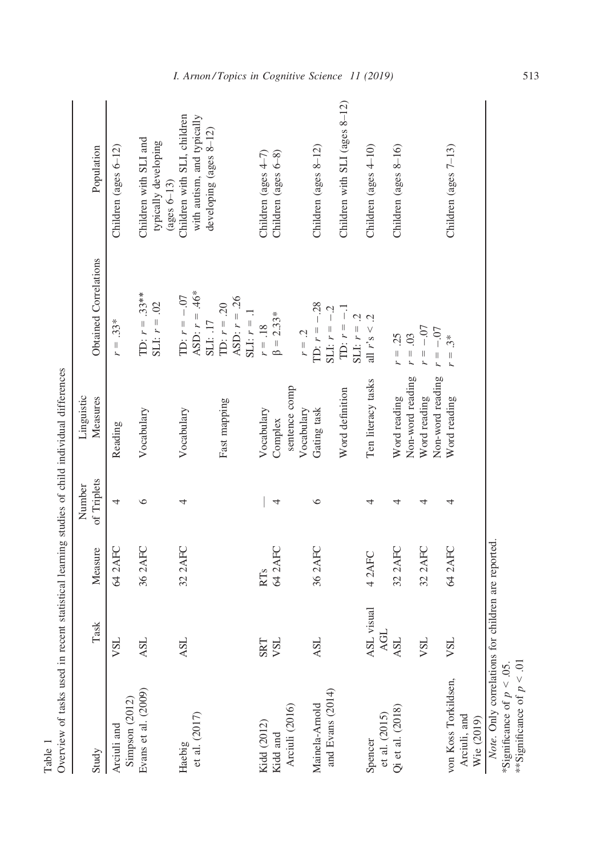| Overview of tasks used in recent statistical learning studies of child individual differences                  |                                        |                     |                       |                                                      |                                                                                  |                                                                                                       |
|----------------------------------------------------------------------------------------------------------------|----------------------------------------|---------------------|-----------------------|------------------------------------------------------|----------------------------------------------------------------------------------|-------------------------------------------------------------------------------------------------------|
| Study                                                                                                          | Task                                   | Measure             | of Triplets<br>Number | Linguistic<br>Measures                               | Obtained Correlations                                                            | Population                                                                                            |
| Simpson (2012)<br>Arciuli and                                                                                  | VSL                                    | 64 2AFC             | 4                     | Reading                                              | $r = .33*$                                                                       | Children (ages 6-12)                                                                                  |
| Evans et al. (2009)                                                                                            | <b>ASL</b>                             | 36 2AFC             | $\circ$               | Vocabulary                                           | TD: $r = .33**$<br>SLI: $r = .02$                                                | Children with SLI and<br>typically developing                                                         |
| et al. (2017)<br>Haebig                                                                                        | <b>ASL</b>                             | 32 <sub>2</sub> AFC | 4                     | Fast mapping<br>Vocabulary                           | ASD: $r = .46*$<br>TD: $r = -.07$<br>$ASD: r = .26$<br>TD: $r = .20$<br>SLI: .17 | Children with SLI, children<br>with autism, and typically<br>developing (ages 8-12)<br>(ages $6-13$ ) |
| Arciuli (2016)<br>Kidd (2012)<br>Kidd and                                                                      | SRT<br>VSL                             | 64 2AFC<br>RTs      | 4                     | sentence comp<br>Vocabulary<br>Complex               | $SLI: r = .1$<br>$\beta = 2.33*$<br>$r = .18$                                    | Children (ages 6-8)<br>Children (ages 4-7)                                                            |
| and Evans (2014)<br>Mainela-Arnold                                                                             | <b>ASL</b>                             | 36 2AFC             | $\circ$               | Gating task<br>Vocabulary                            | $-28$<br>SLI: $r = -2$<br>TD: $r =$<br>$r = 2$                                   | Children (ages 8-12)                                                                                  |
|                                                                                                                |                                        |                     |                       | Word definition                                      | TD: $r = -1$<br>L,<br>SLI: $r =$                                                 | Children with SLI (ages 8-12)                                                                         |
| Qi et al. (2018)<br>et al. (2015)<br>Spencer                                                                   | ASL visual<br><b>AGL</b><br><b>ASL</b> | 32 2AFC<br>42AFC    | 4<br>4                | Ten literacy tasks<br>Word reading                   | all $r\mathrm{s}<.2$<br>$r = .25$                                                | Children (ages 4-10)<br>Children (ages 8-16)                                                          |
|                                                                                                                | VSL                                    | 32 2AFC             | 4                     | Non-word reading<br>Non-word reading<br>Word reading | $-0.07$<br>$-0.07$<br>$r = .03$<br>$r =$<br>$r =$                                |                                                                                                       |
| von Koss Torkildsen,<br>Arciuli, and<br>Wie (2019)                                                             | VSL                                    | 64 2AFC             | 4                     | Word reading                                         | $\ddot{3}^*$<br>$r =$                                                            | Children (ages 7-13)                                                                                  |
| Note. Only correlations for children are reported<br>**Significance of $p < .01$<br>*Significance of $p < .05$ |                                        |                     |                       |                                                      |                                                                                  |                                                                                                       |

Table 1

I. Arnon/Topics in Cognitive Science 11 (2019) 513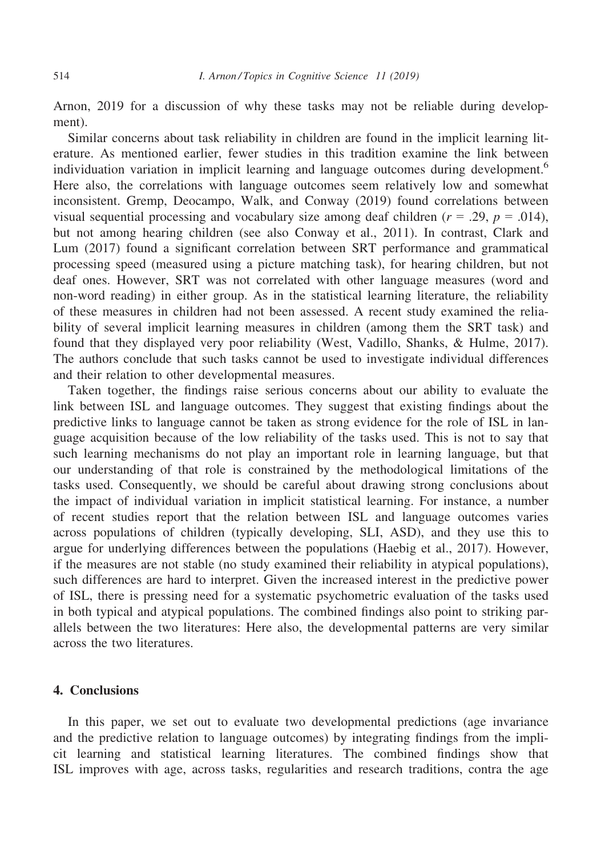Arnon, 2019 for a discussion of why these tasks may not be reliable during development).

Similar concerns about task reliability in children are found in the implicit learning literature. As mentioned earlier, fewer studies in this tradition examine the link between individuation variation in implicit learning and language outcomes during development.<sup>6</sup> Here also, the correlations with language outcomes seem relatively low and somewhat inconsistent. Gremp, Deocampo, Walk, and Conway (2019) found correlations between visual sequential processing and vocabulary size among deaf children ( $r = .29$ ,  $p = .014$ ), but not among hearing children (see also Conway et al., 2011). In contrast, Clark and Lum (2017) found a significant correlation between SRT performance and grammatical processing speed (measured using a picture matching task), for hearing children, but not deaf ones. However, SRT was not correlated with other language measures (word and non-word reading) in either group. As in the statistical learning literature, the reliability of these measures in children had not been assessed. A recent study examined the reliability of several implicit learning measures in children (among them the SRT task) and found that they displayed very poor reliability (West, Vadillo, Shanks, & Hulme, 2017). The authors conclude that such tasks cannot be used to investigate individual differences and their relation to other developmental measures.

Taken together, the findings raise serious concerns about our ability to evaluate the link between ISL and language outcomes. They suggest that existing findings about the predictive links to language cannot be taken as strong evidence for the role of ISL in language acquisition because of the low reliability of the tasks used. This is not to say that such learning mechanisms do not play an important role in learning language, but that our understanding of that role is constrained by the methodological limitations of the tasks used. Consequently, we should be careful about drawing strong conclusions about the impact of individual variation in implicit statistical learning. For instance, a number of recent studies report that the relation between ISL and language outcomes varies across populations of children (typically developing, SLI, ASD), and they use this to argue for underlying differences between the populations (Haebig et al., 2017). However, if the measures are not stable (no study examined their reliability in atypical populations), such differences are hard to interpret. Given the increased interest in the predictive power of ISL, there is pressing need for a systematic psychometric evaluation of the tasks used in both typical and atypical populations. The combined findings also point to striking parallels between the two literatures: Here also, the developmental patterns are very similar across the two literatures.

# 4. Conclusions

In this paper, we set out to evaluate two developmental predictions (age invariance and the predictive relation to language outcomes) by integrating findings from the implicit learning and statistical learning literatures. The combined findings show that ISL improves with age, across tasks, regularities and research traditions, contra the age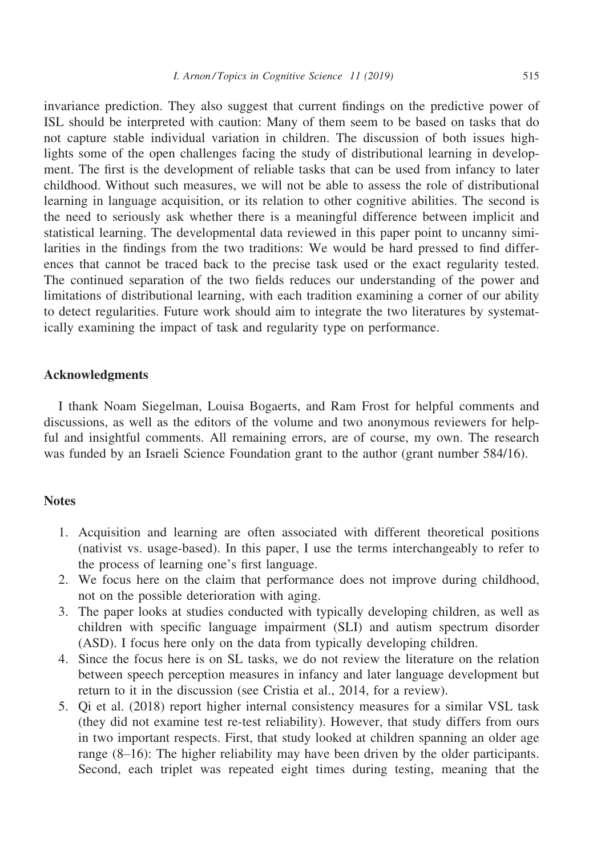invariance prediction. They also suggest that current findings on the predictive power of ISL should be interpreted with caution: Many of them seem to be based on tasks that do not capture stable individual variation in children. The discussion of both issues highlights some of the open challenges facing the study of distributional learning in development. The first is the development of reliable tasks that can be used from infancy to later childhood. Without such measures, we will not be able to assess the role of distributional learning in language acquisition, or its relation to other cognitive abilities. The second is the need to seriously ask whether there is a meaningful difference between implicit and statistical learning. The developmental data reviewed in this paper point to uncanny similarities in the findings from the two traditions: We would be hard pressed to find differences that cannot be traced back to the precise task used or the exact regularity tested. The continued separation of the two fields reduces our understanding of the power and limitations of distributional learning, with each tradition examining a corner of our ability to detect regularities. Future work should aim to integrate the two literatures by systematically examining the impact of task and regularity type on performance.

#### Acknowledgments

I thank Noam Siegelman, Louisa Bogaerts, and Ram Frost for helpful comments and discussions, as well as the editors of the volume and two anonymous reviewers for helpful and insightful comments. All remaining errors, are of course, my own. The research was funded by an Israeli Science Foundation grant to the author (grant number 584/16).

# **Notes**

- 1. Acquisition and learning are often associated with different theoretical positions (nativist vs. usage-based). In this paper, I use the terms interchangeably to refer to the process of learning one's first language.
- 2. We focus here on the claim that performance does not improve during childhood, not on the possible deterioration with aging.
- 3. The paper looks at studies conducted with typically developing children, as well as children with specific language impairment (SLI) and autism spectrum disorder (ASD). I focus here only on the data from typically developing children.
- 4. Since the focus here is on SL tasks, we do not review the literature on the relation between speech perception measures in infancy and later language development but return to it in the discussion (see Cristia et al., 2014, for a review).
- 5. Qi et al. (2018) report higher internal consistency measures for a similar VSL task (they did not examine test re-test reliability). However, that study differs from ours in two important respects. First, that study looked at children spanning an older age range (8–16): The higher reliability may have been driven by the older participants. Second, each triplet was repeated eight times during testing, meaning that the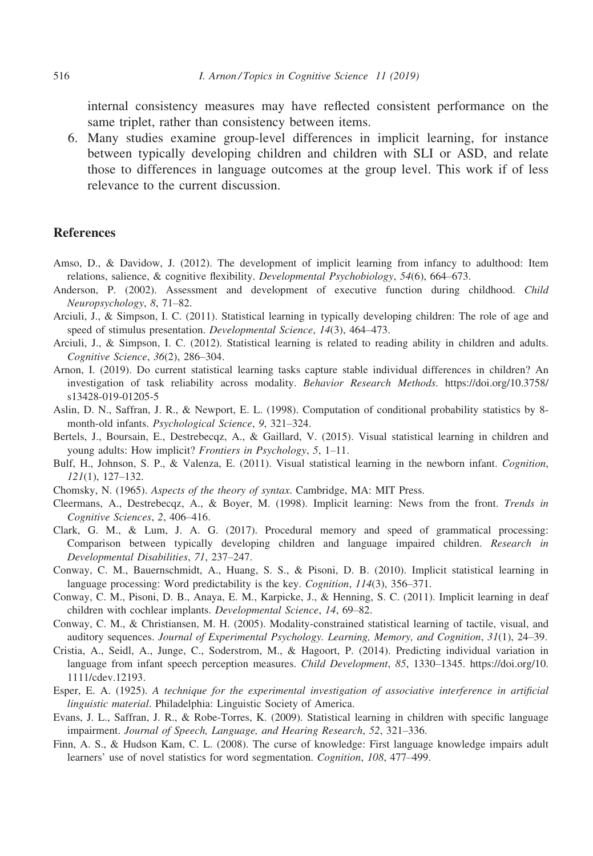internal consistency measures may have reflected consistent performance on the same triplet, rather than consistency between items.

6. Many studies examine group-level differences in implicit learning, for instance between typically developing children and children with SLI or ASD, and relate those to differences in language outcomes at the group level. This work if of less relevance to the current discussion.

# References

- Amso, D., & Davidow, J. (2012). The development of implicit learning from infancy to adulthood: Item relations, salience, & cognitive flexibility. Developmental Psychobiology, 54(6), 664–673.
- Anderson, P. (2002). Assessment and development of executive function during childhood. Child Neuropsychology, 8, 71–82.
- Arciuli, J., & Simpson, I. C. (2011). Statistical learning in typically developing children: The role of age and speed of stimulus presentation. Developmental Science, 14(3), 464–473.
- Arciuli, J., & Simpson, I. C. (2012). Statistical learning is related to reading ability in children and adults. Cognitive Science, 36(2), 286–304.
- Arnon, I. (2019). Do current statistical learning tasks capture stable individual differences in children? An investigation of task reliability across modality. Behavior Research Methods. [https://doi.org/10.3758/](https://doi.org/10.3758/s13428-019-01205-5) [s13428-019-01205-5](https://doi.org/10.3758/s13428-019-01205-5)
- Aslin, D. N., Saffran, J. R., & Newport, E. L. (1998). Computation of conditional probability statistics by 8 month-old infants. Psychological Science, 9, 321–324.
- Bertels, J., Boursain, E., Destrebecqz, A., & Gaillard, V. (2015). Visual statistical learning in children and young adults: How implicit? Frontiers in Psychology, 5, 1–11.
- Bulf, H., Johnson, S. P., & Valenza, E. (2011). Visual statistical learning in the newborn infant. Cognition, 121(1), 127–132.
- Chomsky, N. (1965). Aspects of the theory of syntax. Cambridge, MA: MIT Press.
- Cleermans, A., Destrebecqz, A., & Boyer, M. (1998). Implicit learning: News from the front. Trends in Cognitive Sciences, 2, 406–416.
- Clark, G. M., & Lum, J. A. G. (2017). Procedural memory and speed of grammatical processing: Comparison between typically developing children and language impaired children. Research in Developmental Disabilities, 71, 237–247.
- Conway, C. M., Bauernschmidt, A., Huang, S. S., & Pisoni, D. B. (2010). Implicit statistical learning in language processing: Word predictability is the key. Cognition, 114(3), 356–371.
- Conway, C. M., Pisoni, D. B., Anaya, E. M., Karpicke, J., & Henning, S. C. (2011). Implicit learning in deaf children with cochlear implants. Developmental Science, 14, 69–82.
- Conway, C. M., & Christiansen, M. H. (2005). Modality-constrained statistical learning of tactile, visual, and auditory sequences. Journal of Experimental Psychology. Learning, Memory, and Cognition, 31(1), 24–39.
- Cristia, A., Seidl, A., Junge, C., Soderstrom, M., & Hagoort, P. (2014). Predicting individual variation in language from infant speech perception measures. Child Development, 85, 1330–1345. [https://doi.org/10.](https://doi.org/10.1111/cdev.12193) [1111/cdev.12193](https://doi.org/10.1111/cdev.12193).
- Esper, E. A. (1925). A technique for the experimental investigation of associative interference in artificial linguistic material. Philadelphia: Linguistic Society of America.
- Evans, J. L., Saffran, J. R., & Robe-Torres, K. (2009). Statistical learning in children with specific language impairment. Journal of Speech, Language, and Hearing Research, 52, 321–336.
- Finn, A. S., & Hudson Kam, C. L. (2008). The curse of knowledge: First language knowledge impairs adult learners' use of novel statistics for word segmentation. Cognition, 108, 477–499.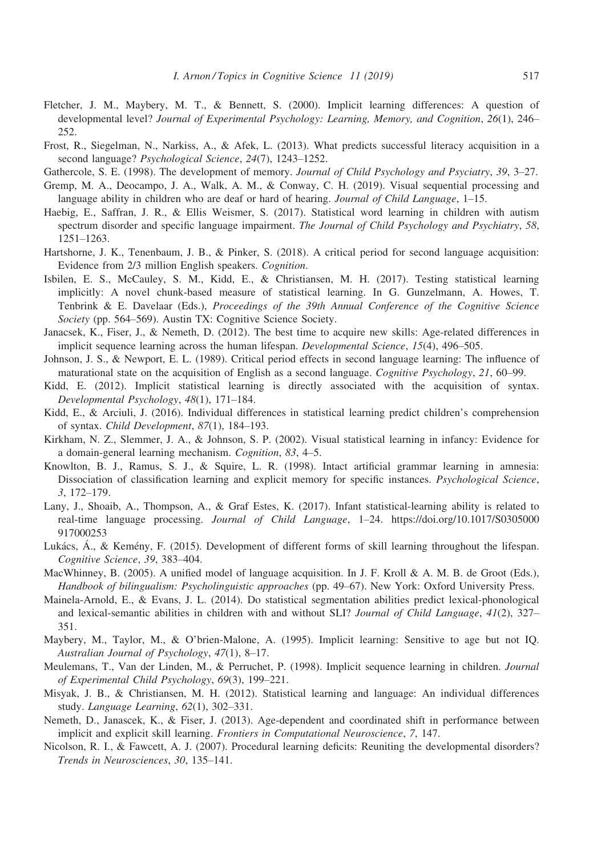- Fletcher, J. M., Maybery, M. T., & Bennett, S. (2000). Implicit learning differences: A question of developmental level? Journal of Experimental Psychology: Learning, Memory, and Cognition, 26(1), 246– 252.
- Frost, R., Siegelman, N., Narkiss, A., & Afek, L. (2013). What predicts successful literacy acquisition in a second language? *Psychological Science*, 24(7), 1243–1252.
- Gathercole, S. E. (1998). The development of memory. Journal of Child Psychology and Psyciatry, 39, 3–27.
- Gremp, M. A., Deocampo, J. A., Walk, A. M., & Conway, C. H. (2019). Visual sequential processing and language ability in children who are deaf or hard of hearing. Journal of Child Language,  $1-15$ .
- Haebig, E., Saffran, J. R., & Ellis Weismer, S. (2017). Statistical word learning in children with autism spectrum disorder and specific language impairment. The Journal of Child Psychology and Psychiatry, 58, 1251–1263.
- Hartshorne, J. K., Tenenbaum, J. B., & Pinker, S. (2018). A critical period for second language acquisition: Evidence from 2/3 million English speakers. Cognition.
- Isbilen, E. S., McCauley, S. M., Kidd, E., & Christiansen, M. H. (2017). Testing statistical learning implicitly: A novel chunk-based measure of statistical learning. In G. Gunzelmann, A. Howes, T. Tenbrink & E. Davelaar (Eds.), Proceedings of the 39th Annual Conference of the Cognitive Science Society (pp. 564–569). Austin TX: Cognitive Science Society.
- Janacsek, K., Fiser, J., & Nemeth, D. (2012). The best time to acquire new skills: Age-related differences in implicit sequence learning across the human lifespan. *Developmental Science*, 15(4), 496–505.
- Johnson, J. S., & Newport, E. L. (1989). Critical period effects in second language learning: The influence of maturational state on the acquisition of English as a second language. Cognitive Psychology, 21, 60–99.
- Kidd, E. (2012). Implicit statistical learning is directly associated with the acquisition of syntax. Developmental Psychology, 48(1), 171–184.
- Kidd, E., & Arciuli, J. (2016). Individual differences in statistical learning predict children's comprehension of syntax. Child Development, 87(1), 184–193.
- Kirkham, N. Z., Slemmer, J. A., & Johnson, S. P. (2002). Visual statistical learning in infancy: Evidence for a domain-general learning mechanism. Cognition, 83, 4–5.
- Knowlton, B. J., Ramus, S. J., & Squire, L. R. (1998). Intact artificial grammar learning in amnesia: Dissociation of classification learning and explicit memory for specific instances. *Psychological Science*, 3, 172–179.
- Lany, J., Shoaib, A., Thompson, A., & Graf Estes, K. (2017). Infant statistical-learning ability is related to real-time language processing. Journal of Child Language, 1–24. [https://doi.org/10.1017/S0305000](https://doi.org/10.1017/S0305000917000253) [917000253](https://doi.org/10.1017/S0305000917000253)
- Lukács, Á., & Kemény, F. (2015). Development of different forms of skill learning throughout the lifespan. Cognitive Science, 39, 383–404.
- MacWhinney, B. (2005). A unified model of language acquisition. In J. F. Kroll & A. M. B. de Groot (Eds.), Handbook of bilingualism: Psycholinguistic approaches (pp. 49–67). New York: Oxford University Press.
- Mainela-Arnold, E., & Evans, J. L. (2014). Do statistical segmentation abilities predict lexical-phonological and lexical-semantic abilities in children with and without SLI? Journal of Child Language, 41(2), 327– 351.
- Maybery, M., Taylor, M., & O'brien-Malone, A. (1995). Implicit learning: Sensitive to age but not IQ. Australian Journal of Psychology, 47(1), 8–17.
- Meulemans, T., Van der Linden, M., & Perruchet, P. (1998). Implicit sequence learning in children. Journal of Experimental Child Psychology, 69(3), 199–221.
- Misyak, J. B., & Christiansen, M. H. (2012). Statistical learning and language: An individual differences study. Language Learning, 62(1), 302–331.
- Nemeth, D., Janascek, K., & Fiser, J. (2013). Age-dependent and coordinated shift in performance between implicit and explicit skill learning. Frontiers in Computational Neuroscience, 7, 147.
- Nicolson, R. I., & Fawcett, A. J. (2007). Procedural learning deficits: Reuniting the developmental disorders? Trends in Neurosciences, 30, 135–141.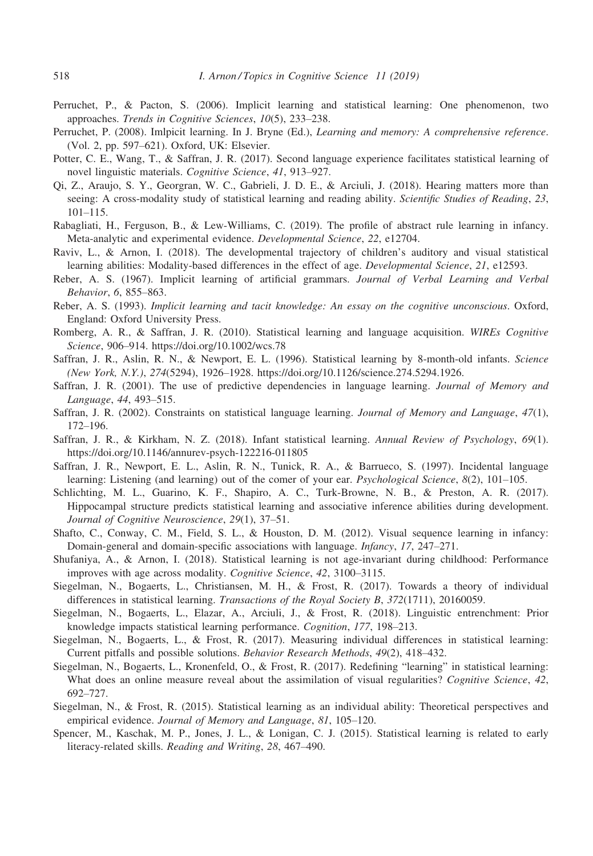- Perruchet, P., & Pacton, S. (2006). Implicit learning and statistical learning: One phenomenon, two approaches. Trends in Cognitive Sciences, 10(5), 233–238.
- Perruchet, P. (2008). Imlpicit learning. In J. Bryne (Ed.), Learning and memory: A comprehensive reference. (Vol. 2, pp. 597–621). Oxford, UK: Elsevier.
- Potter, C. E., Wang, T., & Saffran, J. R. (2017). Second language experience facilitates statistical learning of novel linguistic materials. Cognitive Science, 41, 913–927.
- Qi, Z., Araujo, S. Y., Georgran, W. C., Gabrieli, J. D. E., & Arciuli, J. (2018). Hearing matters more than seeing: A cross-modality study of statistical learning and reading ability. Scientific Studies of Reading, 23, 101–115.
- Rabagliati, H., Ferguson, B., & Lew-Williams, C. (2019). The profile of abstract rule learning in infancy. Meta-analytic and experimental evidence. Developmental Science, 22, e12704.
- Raviv, L., & Arnon, I. (2018). The developmental trajectory of children's auditory and visual statistical learning abilities: Modality-based differences in the effect of age. Developmental Science, 21, e12593.
- Reber, A. S. (1967). Implicit learning of artificial grammars. Journal of Verbal Learning and Verbal Behavior, 6, 855–863.
- Reber, A. S. (1993). Implicit learning and tacit knowledge: An essay on the cognitive unconscious. Oxford, England: Oxford University Press.
- Romberg, A. R., & Saffran, J. R. (2010). Statistical learning and language acquisition. WIREs Cognitive Science, 906–914.<https://doi.org/10.1002/wcs.78>
- Saffran, J. R., Aslin, R. N., & Newport, E. L. (1996). Statistical learning by 8-month-old infants. Science (New York, N.Y.), 274(5294), 1926–1928.<https://doi.org/10.1126/science.274.5294.1926>.
- Saffran, J. R. (2001). The use of predictive dependencies in language learning. Journal of Memory and Language, 44, 493–515.
- Saffran, J. R. (2002). Constraints on statistical language learning. Journal of Memory and Language, 47(1), 172–196.
- Saffran, J. R., & Kirkham, N. Z. (2018). Infant statistical learning. Annual Review of Psychology, 69(1). <https://doi.org/10.1146/annurev-psych-122216-011805>
- Saffran, J. R., Newport, E. L., Aslin, R. N., Tunick, R. A., & Barrueco, S. (1997). Incidental language learning: Listening (and learning) out of the comer of your ear. Psychological Science, 8(2), 101-105.
- Schlichting, M. L., Guarino, K. F., Shapiro, A. C., Turk-Browne, N. B., & Preston, A. R. (2017). Hippocampal structure predicts statistical learning and associative inference abilities during development. Journal of Cognitive Neuroscience, 29(1), 37–51.
- Shafto, C., Conway, C. M., Field, S. L., & Houston, D. M. (2012). Visual sequence learning in infancy: Domain-general and domain-specific associations with language. Infancy, 17, 247–271.
- Shufaniya, A., & Arnon, I. (2018). Statistical learning is not age-invariant during childhood: Performance improves with age across modality. Cognitive Science, 42, 3100–3115.
- Siegelman, N., Bogaerts, L., Christiansen, M. H., & Frost, R. (2017). Towards a theory of individual differences in statistical learning. Transactions of the Royal Society B, 372(1711), 20160059.
- Siegelman, N., Bogaerts, L., Elazar, A., Arciuli, J., & Frost, R. (2018). Linguistic entrenchment: Prior knowledge impacts statistical learning performance. Cognition, 177, 198–213.
- Siegelman, N., Bogaerts, L., & Frost, R. (2017). Measuring individual differences in statistical learning: Current pitfalls and possible solutions. Behavior Research Methods, 49(2), 418–432.
- Siegelman, N., Bogaerts, L., Kronenfeld, O., & Frost, R. (2017). Redefining "learning" in statistical learning: What does an online measure reveal about the assimilation of visual regularities? Cognitive Science, 42, 692–727.
- Siegelman, N., & Frost, R. (2015). Statistical learning as an individual ability: Theoretical perspectives and empirical evidence. Journal of Memory and Language, 81, 105–120.
- Spencer, M., Kaschak, M. P., Jones, J. L., & Lonigan, C. J. (2015). Statistical learning is related to early literacy-related skills. Reading and Writing, 28, 467–490.